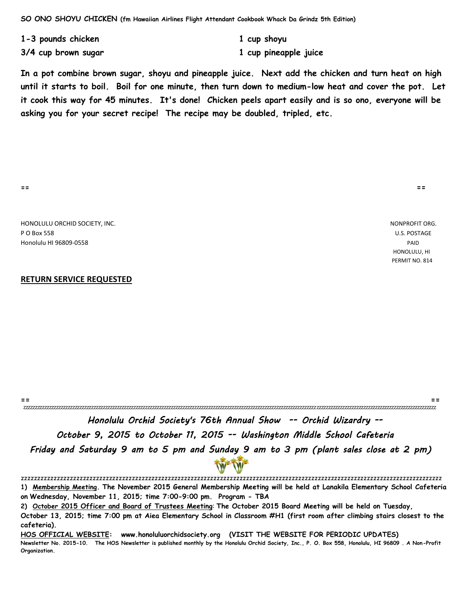**1-3 pounds chicken 1 cup shoyu**

**3/4 cup brown sugar 1 cup pineapple juice**

**In a pot combine brown sugar, shoyu and pineapple juice. Next add the chicken and turn heat on high until it starts to boil. Boil for one minute, then turn down to medium-low heat and cover the pot. Let it cook this way for 45 minutes. It's done! Chicken peels apart easily and is so ono, everyone will be asking you for your secret recipe! The recipe may be doubled, tripled, etc.**

**== ==**

HONOLULU ORCHID SOCIETY, INC. NONPROFIT ORG. P O Box 558 U.S. POSTAGE Honolulu HI 96809-0558 PAID

#### **RETURN SERVICE REQUESTED**

**== ==** zzzzzzzzzzzzzzzzzzzzzzzzzzzzzzzzzzzzzzzzzzzzzzzzzzzzzzzzzzzzzzzzzzzzzzzzzzzzzzzzzzzzzzzzzzzzzzzzzzzzzzzzzzzzzzzzzzzzzzzzzzzzzzzzzzzzzzzzzzzzzzzzzzzzzzzzzzzzzzzzzzzzzzzzzzzzzzzz

 Honolulu Orchid Society's 76th Annual Show -- Orchid Wizardry -- October 9, 2015 to October 11, 2015 -- Washington Middle School Cafeteria Friday and Saturday 9 am to 5 pm and Sunday 9 am to 3 pm (plant sales close at 2 pm)

zzzzzzzzzzzzzzzzzzzzzzzzzzzzzzzzzzzzzzzzzzzzzzzzzzzzzzzzzzzzzzzzzzzzzzzzzzzzzzzzzzzzzzzzzzzzzzzzzzzzzzzzzzzzzzzzzzzzzzzzzzzzzzzzz

**1) Membership Meeting. The November 2015 General Membership Meeting will be held at Lanakila Elementary School Cafeteria on Wednesday, November 11, 2015; time 7:00-9:00 pm. Program - TBA**

**2) October 2015 Officer and Board of Trustees Meeting**: **The October 2015 Board Meeting will be held on Tuesday,** 

**October 13, 2015; time 7:00 pm at Aiea Elementary School in Classroom #H1 (first room after climbing stairs closest to the cafeteria).** 

**HOS OFFICIAL WEBSITE: www.honoluluorchidsociety.org (VISIT THE WEBSITE FOR PERIODIC UPDATES)**

**Newsletter No. 2015-10. The HOS Newsletter is published monthly by the Honolulu Orchid Society, Inc., P. O. Box 558, Honolulu, HI 96809 . A Non-Profit Organization.** 

 HONOLULU, HI PERMIT NO. 814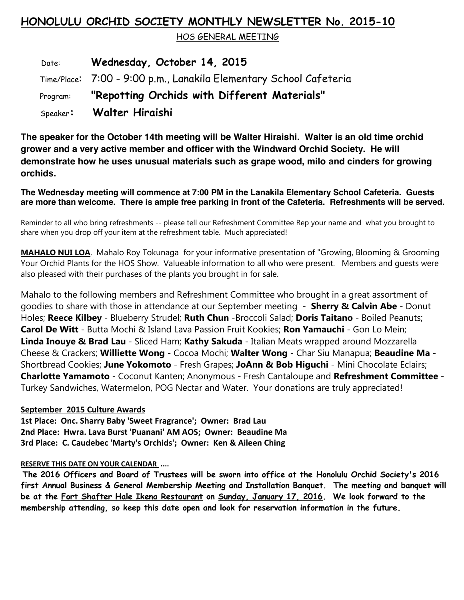## **HONOLULU ORCHID SOCIETY MONTHLY NEWSLETTER No. 2015-10**

HOS GENERAL MEETING

 Date: **Wednesday, October 14, 2015** Time/Place: 7:00 - 9:00 p.m., Lanakila Elementary School Cafeteria Program: **"Repotting Orchids with Different Materials"** Speaker**: Walter Hiraishi** 

**The speaker for the October 14th meeting will be Walter Hiraishi. Walter is an old time orchid grower and a very active member and officer with the Windward Orchid Society. He will demonstrate how he uses unusual materials such as grape wood, milo and cinders for growing orchids.**

**The Wednesday meeting will commence at 7:00 PM in the Lanakila Elementary School Cafeteria. Guests are more than welcome. There is ample free parking in front of the Cafeteria. Refreshments will be served.**

Reminder to all who bring refreshments -- please tell our Refreshment Committee Rep your name and what you brought to share when you drop off your item at the refreshment table. Much appreciated!

**MAHALO NUI LOA**. Mahalo Roy Tokunaga for your informative presentation of "Growing, Blooming & Grooming Your Orchid Plants for the HOS Show. Valueable information to all who were present. Members and guests were also pleased with their purchases of the plants you brought in for sale.

Mahalo to the following members and Refreshment Committee who brought in a great assortment of goodies to share with those in attendance at our September meeting - **Sherry & Calvin Abe** - Donut Holes; **Reece Kilbey** - Blueberry Strudel; **Ruth Chun** -Broccoli Salad; **Doris Taitano** - Boiled Peanuts; **Carol De Witt** - Butta Mochi & Island Lava Passion Fruit Kookies; **Ron Yamauchi** - Gon Lo Mein; **Linda Inouye & Brad Lau** - Sliced Ham; **Kathy Sakuda** - Italian Meats wrapped around Mozzarella Cheese & Crackers; **Williette Wong** - Cocoa Mochi; **Walter Wong** - Char Siu Manapua; **Beaudine Ma** - Shortbread Cookies; **June Yokomoto** - Fresh Grapes; **JoAnn & Bob Higuchi** - Mini Chocolate Eclairs; **Charlotte Yamamoto** - Coconut Kanten; Anonymous - Fresh Cantaloupe and **Refreshment Committee** - Turkey Sandwiches, Watermelon, POG Nectar and Water. Your donations are truly appreciated!

### **September 2015 Culture Awards**

**1st Place: Onc. Sharry Baby 'Sweet Fragrance'; Owner: Brad Lau 2nd Place: Hwra. Lava Burst 'Puanani' AM AOS; Owner: Beaudine Ma 3rd Place: C. Caudebec 'Marty's Orchids'; Owner: Ken & Aileen Ching** 

#### **RESERVE THIS DATE ON YOUR CALENDAR ....**

**The 2016 Officers and Board of Trustees will be sworn into office at the Honolulu Orchid Society's 2016 first Annual Business & General Membership Meeting and Installation Banquet. The meeting and banquet will be at the Fort Shafter Hale Ikena Restaurant on Sunday, January 17, 2016. We look forward to the membership attending, so keep this date open and look for reservation information in the future.**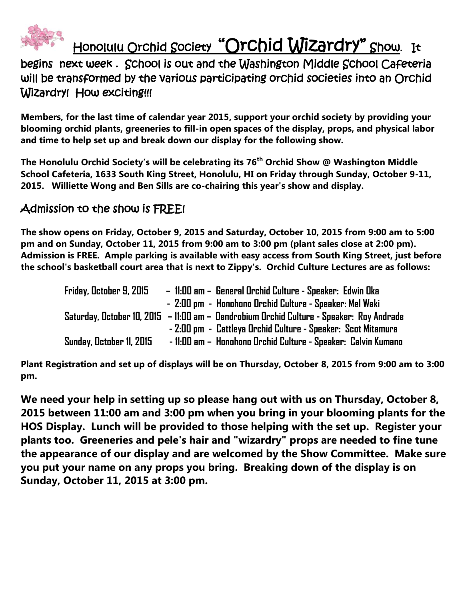

# Honolulu Orchid Society "Orchid Wizardry" Show. It

begins next week . School is out and the Washington Middle School Cafeteria will be transformed by the various participating orchid societies into an Orchid Wizardry! How exciting!!!

**Members, for the last time of calendar year 2015, support your orchid society by providing your blooming orchid plants, greeneries to fill-in open spaces of the display, props, and physical labor and time to help set up and break down our display for the following show.**

**The Honolulu Orchid Society's will be celebrating its 76th Orchid Show @ Washington Middle School Cafeteria, 1633 South King Street, Honolulu, HI on Friday through Sunday, October 9-11, 2015. Williette Wong and Ben Sills are co-chairing this year's show and display.**

## Admission to the show is FREE!

**The show opens on Friday, October 9, 2015 and Saturday, October 10, 2015 from 9:00 am to 5:00 pm and on Sunday, October 11, 2015 from 9:00 am to 3:00 pm (plant sales close at 2:00 pm). Admission is FREE. Ample parking is available with easy access from South King Street, just before the school's basketball court area that is next to Zippy's. Orchid Culture Lectures are as follows:** 

| Friday, October 9, 2015  | - 11:00 am - General Orchid Culture - Speaker: Edwin Oka                                   |
|--------------------------|--------------------------------------------------------------------------------------------|
|                          | - 2:00 pm - Honohono Orchid Culture - Speaker: Mel Waki                                    |
|                          | Saturday, October 10, 2015   – 11:00 am – Dendrobium Orchid Culture - Speaker: Roy Andrade |
|                          | - 2:00 pm - Cattleya Orchid Culture - Speaker: Scot Mitamura                               |
| Sunday, October 11, 2015 | - 11:00 am - Honohono Orchid Culture - Speaker: Calvin Kumano                              |

**Plant Registration and set up of displays will be on Thursday, October 8, 2015 from 9:00 am to 3:00 pm.** 

**We need your help in setting up so please hang out with us on Thursday, October 8, 2015 between 11:00 am and 3:00 pm when you bring in your blooming plants for the HOS Display. Lunch will be provided to those helping with the set up. Register your plants too. Greeneries and pele's hair and "wizardry" props are needed to fine tune the appearance of our display and are welcomed by the Show Committee. Make sure you put your name on any props you bring. Breaking down of the display is on Sunday, October 11, 2015 at 3:00 pm.**